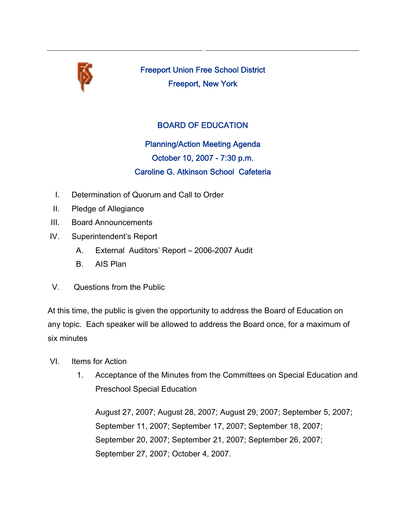

Freeport Union Free School District Freeport, New York

## BOARD OF EDUCATION

Planning/Action Meeting Agenda October 10, 2007 - 7:30 p.m. Caroline G. Atkinson School Cafeteria

- I. Determination of Quorum and Call to Order
- II. Pledge of Allegiance
- III. Board Announcements
- IV. Superintendent's Report
	- A. External Auditors' Report 2006-2007 Audit
	- B. AIS Plan
- V. Questions from the Public

At this time, the public is given the opportunity to address the Board of Education on any topic. Each speaker will be allowed to address the Board once, for a maximum of six minutes

- VI. Items for Action
	- 1. Acceptance of the Minutes from the Committees on Special Education and Preschool Special Education

August 27, 2007; August 28, 2007; August 29, 2007; September 5, 2007; September 11, 2007; September 17, 2007; September 18, 2007; September 20, 2007; September 21, 2007; September 26, 2007; September 27, 2007; October 4, 2007.